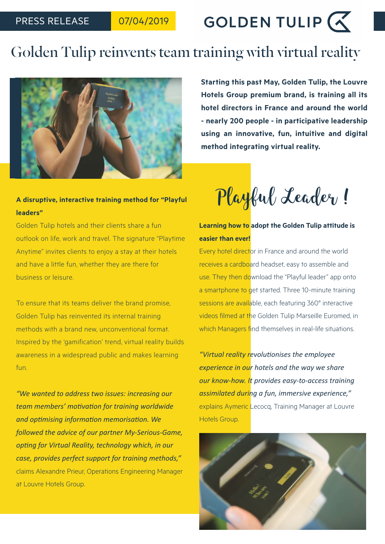

# Golden Tulip reinvents team training with virtual reality



## **A disruptive, interactive training method for "Playful leaders"**

Golden Tulip hotels and their clients share a fun outlook on life, work and travel. The signature "Playtime Anytime" invites clients to enjoy a stay at their hotels and have a little fun, whether they are there for business or leisure.

To ensure that its teams deliver the brand promise, Golden Tulip has reinvented its internal training methods with a brand new, unconventional format. Inspired by the 'gamification' trend, virtual reality builds awareness in a widespread public and makes learning fun.

*"We wanted to address two issues: increasing our team members' motivation for training worldwide and optimising information memorisation. We followed the advice of our partner My-Serious-Game, opting for Virtual Reality, technology which, in our case, provides perfect support for training methods,"*  claims Alexandre Prieur, Operations Engineering Manager at Louvre Hotels Group.

**Starting this past May, Golden Tulip, the Louvre Hotels Group premium brand, is training all its hotel directors in France and around the world - nearly 200 people - in participative leadership using an innovative, fun, intuitive and digital method integrating virtual reality.** 

Playful Leader !

## **Learning how to adopt the Golden Tulip attitude is easier than ever!**

Every hotel director in France and around the world receives a cardboard headset, easy to assemble and use. They then download the "Playful leader" app onto a smartphone to get started. Three 10-minute training sessions are available, each featuring 360° interactive videos filmed at the Golden Tulip Marseille Euromed, in which Managers find themselves in real-life situations.

*"Virtual reality revolutionises the employee experience in our hotels and the way we share our know-how. It provides easy-to-access training assimilated during a fun, immersive experience,"*  explains Aymeric Lecocq, Training Manager at Louvre Hotels Group.